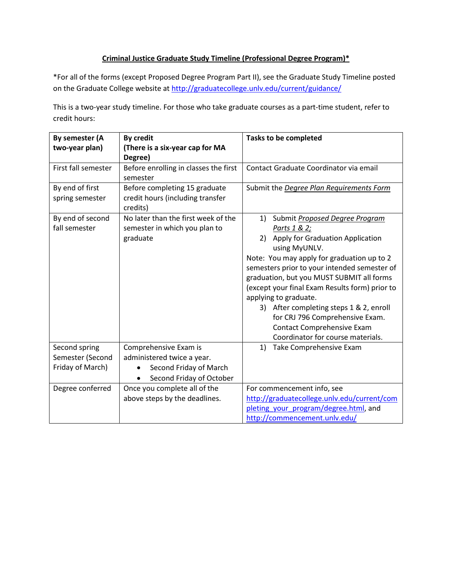## **Criminal Justice Graduate Study Timeline (Professional Degree Program)\***

\*For all of the forms (except Proposed Degree Program Part II), see the Graduate Study Timeline posted on the Graduate College website at<http://graduatecollege.unlv.edu/current/guidance/>

This is a two-year study timeline. For those who take graduate courses as a part-time student, refer to credit hours:

| By semester (A      | <b>By credit</b>                      | <b>Tasks to be completed</b>                   |  |
|---------------------|---------------------------------------|------------------------------------------------|--|
| two-year plan)      | (There is a six-year cap for MA       |                                                |  |
|                     | Degree)                               |                                                |  |
| First fall semester | Before enrolling in classes the first | Contact Graduate Coordinator via email         |  |
|                     | semester                              |                                                |  |
| By end of first     | Before completing 15 graduate         | Submit the Degree Plan Requirements Form       |  |
| spring semester     | credit hours (including transfer      |                                                |  |
|                     | credits)                              |                                                |  |
| By end of second    | No later than the first week of the   | Submit Proposed Degree Program<br>1)           |  |
| fall semester       | semester in which you plan to         | Parts 1 & 2;                                   |  |
|                     | graduate                              | 2) Apply for Graduation Application            |  |
|                     |                                       | using MyUNLV.                                  |  |
|                     |                                       | Note: You may apply for graduation up to 2     |  |
|                     |                                       | semesters prior to your intended semester of   |  |
|                     |                                       | graduation, but you MUST SUBMIT all forms      |  |
|                     |                                       | (except your final Exam Results form) prior to |  |
|                     |                                       | applying to graduate.                          |  |
|                     |                                       | 3) After completing steps 1 & 2, enroll        |  |
|                     |                                       | for CRJ 796 Comprehensive Exam.                |  |
|                     |                                       | Contact Comprehensive Exam                     |  |
|                     |                                       | Coordinator for course materials.              |  |
| Second spring       | Comprehensive Exam is                 | Take Comprehensive Exam<br>1)                  |  |
| Semester (Second    | administered twice a year.            |                                                |  |
| Friday of March)    | Second Friday of March                |                                                |  |
|                     | Second Friday of October              |                                                |  |
| Degree conferred    | Once you complete all of the          | For commencement info, see                     |  |
|                     | above steps by the deadlines.         | http://graduatecollege.unlv.edu/current/com    |  |
|                     |                                       | pleting your program/degree.html, and          |  |
|                     |                                       | http://commencement.unlv.edu/                  |  |